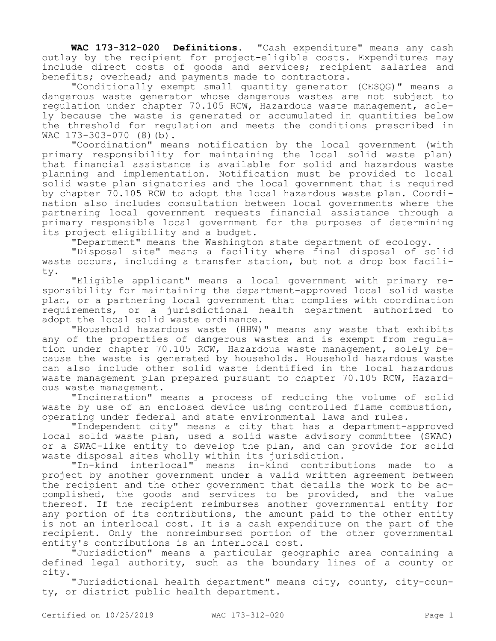**WAC 173-312-020 Definitions.** "Cash expenditure" means any cash outlay by the recipient for project-eligible costs. Expenditures may include direct costs of goods and services; recipient salaries and benefits; overhead; and payments made to contractors.

"Conditionally exempt small quantity generator (CESQG)" means a dangerous waste generator whose dangerous wastes are not subject to regulation under chapter 70.105 RCW, Hazardous waste management, solely because the waste is generated or accumulated in quantities below the threshold for regulation and meets the conditions prescribed in WAC 173-303-070 (8)(b).

"Coordination" means notification by the local government (with primary responsibility for maintaining the local solid waste plan) that financial assistance is available for solid and hazardous waste planning and implementation. Notification must be provided to local solid waste plan signatories and the local government that is required by chapter 70.105 RCW to adopt the local hazardous waste plan. Coordination also includes consultation between local governments where the partnering local government requests financial assistance through a primary responsible local government for the purposes of determining its project eligibility and a budget.

"Department" means the Washington state department of ecology.

"Disposal site" means a facility where final disposal of solid waste occurs, including a transfer station, but not a drop box facility.

"Eligible applicant" means a local government with primary responsibility for maintaining the department-approved local solid waste plan, or a partnering local government that complies with coordination requirements, or a jurisdictional health department authorized to adopt the local solid waste ordinance.

"Household hazardous waste (HHW)" means any waste that exhibits any of the properties of dangerous wastes and is exempt from regulation under chapter 70.105 RCW, Hazardous waste management, solely because the waste is generated by households. Household hazardous waste can also include other solid waste identified in the local hazardous waste management plan prepared pursuant to chapter 70.105 RCW, Hazardous waste management.

"Incineration" means a process of reducing the volume of solid waste by use of an enclosed device using controlled flame combustion, operating under federal and state environmental laws and rules.

"Independent city" means a city that has a department-approved local solid waste plan, used a solid waste advisory committee (SWAC) or a SWAC-like entity to develop the plan, and can provide for solid waste disposal sites wholly within its jurisdiction.

"In-kind interlocal" means in-kind contributions made to a project by another government under a valid written agreement between the recipient and the other government that details the work to be accomplished, the goods and services to be provided, and the value thereof. If the recipient reimburses another governmental entity for any portion of its contributions, the amount paid to the other entity is not an interlocal cost. It is a cash expenditure on the part of the recipient. Only the nonreimbursed portion of the other governmental entity's contributions is an interlocal cost.

"Jurisdiction" means a particular geographic area containing a defined legal authority, such as the boundary lines of a county or city.

"Jurisdictional health department" means city, county, city-county, or district public health department.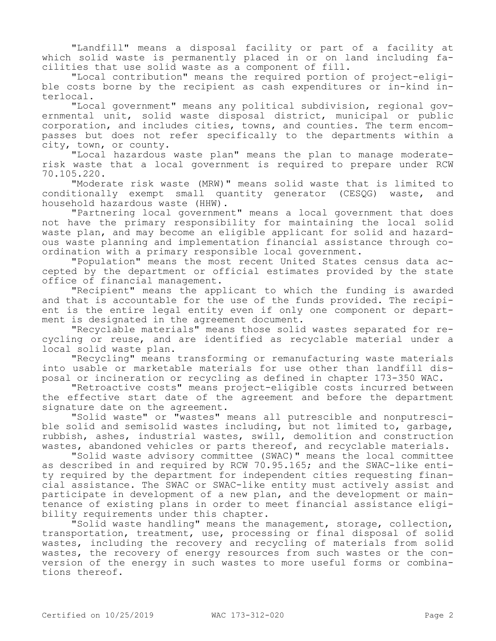"Landfill" means a disposal facility or part of a facility at which solid waste is permanently placed in or on land including facilities that use solid waste as a component of fill.

"Local contribution" means the required portion of project-eligible costs borne by the recipient as cash expenditures or in-kind interlocal.

"Local government" means any political subdivision, regional governmental unit, solid waste disposal district, municipal or public corporation, and includes cities, towns, and counties. The term encompasses but does not refer specifically to the departments within a city, town, or county.

"Local hazardous waste plan" means the plan to manage moderaterisk waste that a local government is required to prepare under RCW 70.105.220.

"Moderate risk waste (MRW)" means solid waste that is limited to conditionally exempt small quantity generator (CESQG) waste, and household hazardous waste (HHW).

"Partnering local government" means a local government that does not have the primary responsibility for maintaining the local solid waste plan, and may become an eligible applicant for solid and hazardous waste planning and implementation financial assistance through coordination with a primary responsible local government.

"Population" means the most recent United States census data accepted by the department or official estimates provided by the state office of financial management.

"Recipient" means the applicant to which the funding is awarded and that is accountable for the use of the funds provided. The recipient is the entire legal entity even if only one component or department is designated in the agreement document.

"Recyclable materials" means those solid wastes separated for recycling or reuse, and are identified as recyclable material under a local solid waste plan.

"Recycling" means transforming or remanufacturing waste materials into usable or marketable materials for use other than landfill disposal or incineration or recycling as defined in chapter 173-350 WAC.

"Retroactive costs" means project-eligible costs incurred between the effective start date of the agreement and before the department signature date on the agreement.

"Solid waste" or "wastes" means all putrescible and nonputrescible solid and semisolid wastes including, but not limited to, garbage, rubbish, ashes, industrial wastes, swill, demolition and construction wastes, abandoned vehicles or parts thereof, and recyclable materials.

"Solid waste advisory committee (SWAC)" means the local committee as described in and required by RCW 70.95.165; and the SWAC-like entity required by the department for independent cities requesting financial assistance. The SWAC or SWAC-like entity must actively assist and participate in development of a new plan, and the development or maintenance of existing plans in order to meet financial assistance eligibility requirements under this chapter.

"Solid waste handling" means the management, storage, collection, transportation, treatment, use, processing or final disposal of solid wastes, including the recovery and recycling of materials from solid wastes, the recovery of energy resources from such wastes or the conversion of the energy in such wastes to more useful forms or combinations thereof.